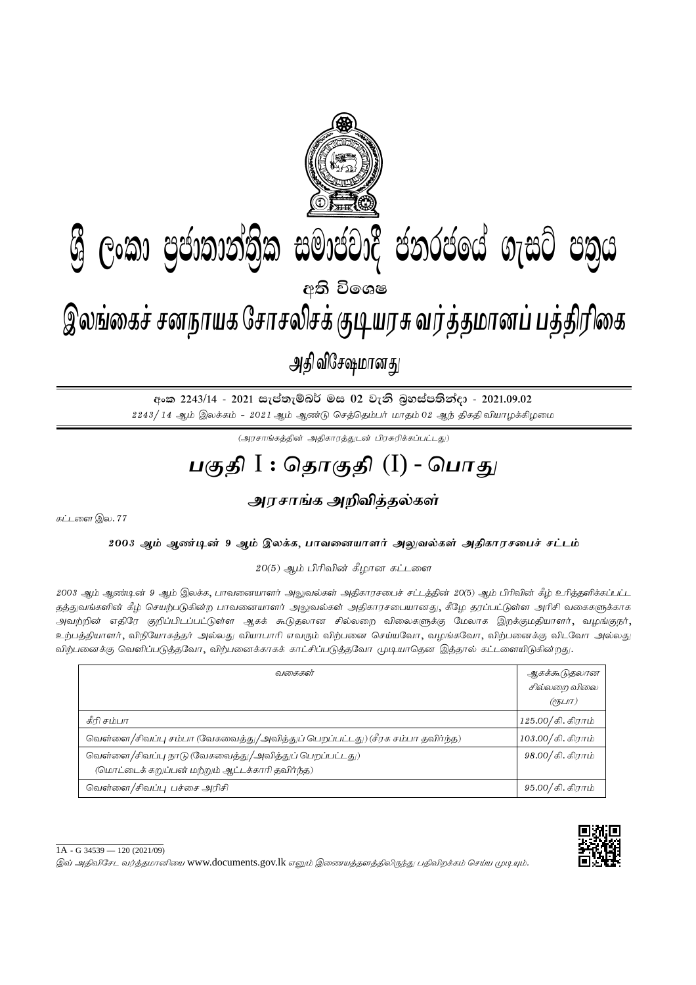

අංක 2243/14 - 2021 සැප්තැම්බර් මස 02 වැනි බුහස්පතින්දා - 2021.09.02  $2243/14$  ஆம் இலக்கம் -  $2021$  ஆம் ஆண்டு செத்தெம்பர் மாதம் 02 ஆந் திகதி வியாழக்கிழமை

 $(\mathcal{A}$ ரசாங்கத்தின் அதிகாரத்துடன் பிரசுரிக்கப்பட்டது)

## <u>பகுதி</u> I : தொகுதி (I) - பொகு<sub>/</sub>

## <u>அரசாங்க அறிவித்த</u>ல்கள்

கட்டளை இல.  $77$ 

2003 ஆம் ஆண்டின் 9 ஆம் இலக்க, பாவனையாளர் அலுவல்கள் அதிகாரசபைச் சட்டம்

 $20(5)$  ஆம் பிரிவின் கீழான கட்டளை

2003 ஆம் ஆண்டின் 9 ஆம் இலக்க, பாவனையாளர் அலுவல்கள் அதிகாரசபைச் சட்டத்தின் 20(5) ஆம் பிரிவின் கீழ் உரித்தளிக்கப்பட்ட தத்துவங்களின் கீழ் செயற்படுகின்ற பாவனையாளர் அலுவல்கள் அதிகாரசபையானது, கீழே தரப்பட்டுள்ள அரிசி வகைகளுக்காக அவற்றின் எதிரே குறிப்பிடப்பட்டுள்ள ஆகக் கூடுதலான சில்லறை விலைகளுக்கு மேலாக இறக்குமதியாளர், வழங்குநர், உற்பத்தியாளர், விநியோகத்தர் அல்லது வியாபாரி எவரும் விற்பனை செய்யவோ, வழங்கவோ, விற்பனைக்கு விடவோ அல்லது விற்பனைக்கு வெளிப்படுத்தவோ, விற்பனைக்காகக் காட்சிப்படுத்தவோ முடியாதென இத்தால் கட்டளையிடுகின்றது.

| வகைகள்                                                                                                   | ஆகக்கூடுதலான<br>சில்லறை விலை |
|----------------------------------------------------------------------------------------------------------|------------------------------|
|                                                                                                          | (?5LIT)                      |
| கீரி சம்பா                                                                                               | $125.00 /$ கி. கிராம்        |
| வெள்ளை/சிவப்பு சம்பா (வேகவைத்து/அவித்துப் பெறப்பட்டது) (சீரக சம்பா தவிர்ந்த)                             | 103.00/கி. கிராம்            |
| வெள்ளை/சிவப்பு நாடு (வேகவைத்து/அவித்துப் பெறப்பட்டது)<br>(மொட்டைக் கறுப்பன் மற்றும் ஆட்டக்காரி தவிர்ந்த) | 98.00/கி. கிராம்             |
| வெள்ளை/சிவப்பு பச்சை அரிசி                                                                               | 95.00/கி. கிராம்             |

 $1A - G$  34539 — 120 (2021/09)

இவ் அதிவிசேட வர்த்தமானியை www.documents.gov.lk எனும் இணையத்தளத்திலிருந்து பதிவிறக்கம் செய்ய முடியும்.